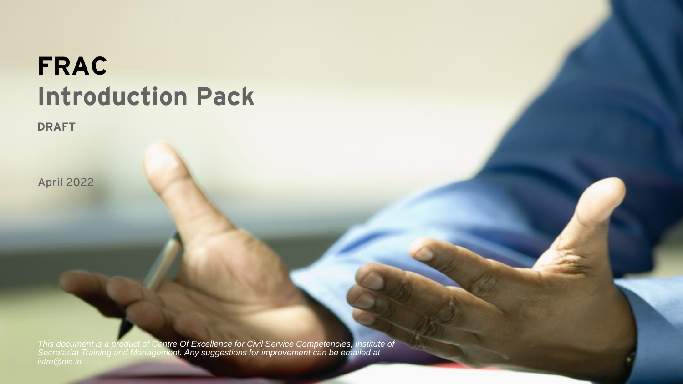# **FRAC Introduction Pack**

**DRAFT**

April 2022

*This document is a product of Centre Of Excellence for Civil Service Competencies, Institute of Secretariat Training and Management. Any suggestions for improvement can be emailed at*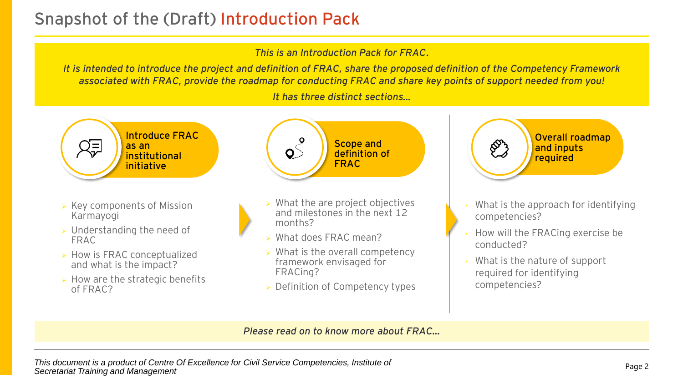## **Snapshot of the (Draft) Introduction Pack**

#### *This is an Introduction Pack for FRAC.*

*It is intended to introduce the project and definition of FRAC, share the proposed definition of the Competency Framework associated with FRAC, provide the roadmap for conducting FRAC and share key points of support needed from you!*

*It has three distinct sections…*



- ➢ Key components of Mission Karmayogi
- ➢ Understanding the need of FRAC
- ➢ How is FRAC conceptualized and what is the impact?
- $\triangleright$  How are the strategic benefits of FRAC?



- $\triangleright$  What the are project objectives and milestones in the next 12 months?
- ➢ What does FRAC mean?
- $\triangleright$  What is the overall competency framework envisaged for FRACing?
- ➢ Definition of Competency types



- What is the approach for identifying competencies?
- How will the FRACing exercise be conducted?
- What is the nature of support required for identifying competencies?

#### *Please read on to know more about FRAC…*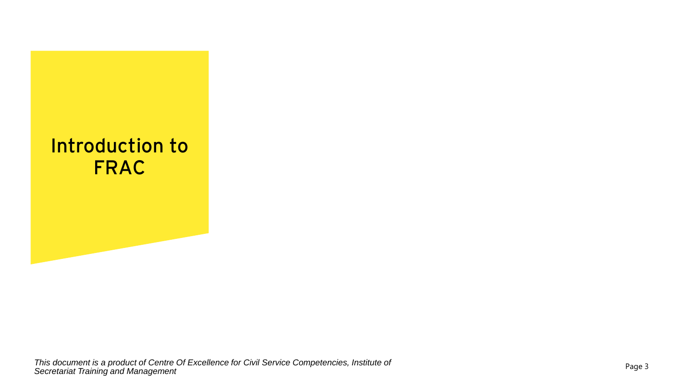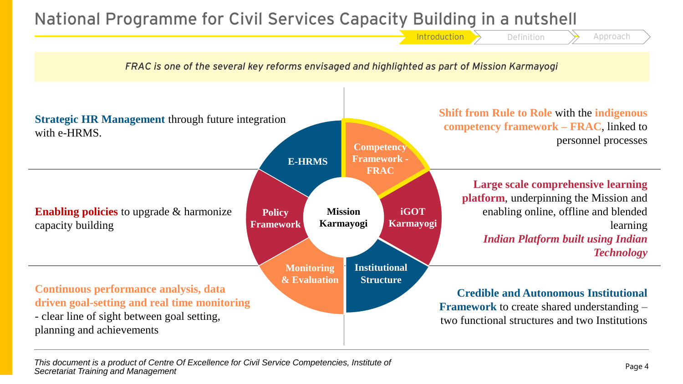## **National Programme for Civil Services Capacity Building in a nutshell**



*This document is a product of Centre Of Excellence for Civil Service Competencies, Institute of Secretariat Training and Management*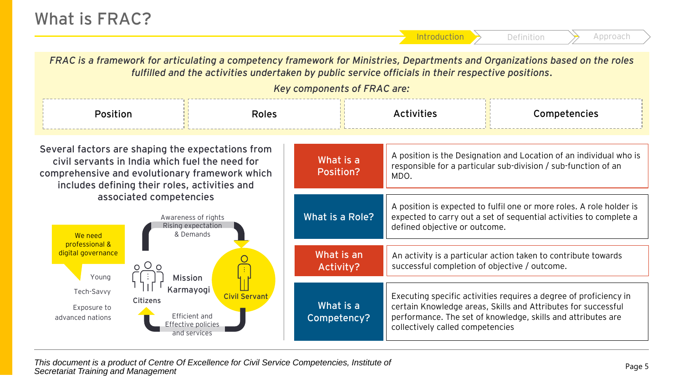*FRAC is a framework for articulating a competency framework for Ministries, Departments and Organizations based on the roles fulfilled and the activities undertaken by public service officials in their respective positions. Key components of FRAC are:* Position Roles Roles Activities Rosition Competencies **Several factors are shaping the expectations from**  A position is the Designation and Location of an individual who is **What is a civil servants in India which fuel the need for**  responsible for a particular sub-division / sub-function of an **Position? comprehensive and evolutionary framework which**  MDO. **includes defining their roles, activities and associated competencies**A position is expected to fulfil one or more roles. A role holder is **What is a Role?** Awareness of rights expected to carry out a set of sequential activities to complete a Rising expectation defined objective or outcome. & Demands We need professional & digital governance **What is an**  An activity is a particular action taken to contribute towards  $000$ successful completion of objective / outcome. **Activity?** Young **Fig.** | | | | | | Mission **Karmayogi** Tech-Savvy **Citizens Citizens Citizens** Executing specific activities requires a degree of proficiency in **What is a**  certain Knowledge areas, Skills and Attributes for successful Exposure to Efficient and **Competency?** performance. The set of knowledge, skills and attributes are advanced nations Effective policies collectively called competencies and services

*This document is a product of Centre Of Excellence for Civil Service Competencies, Institute of Secretariat Training and Management*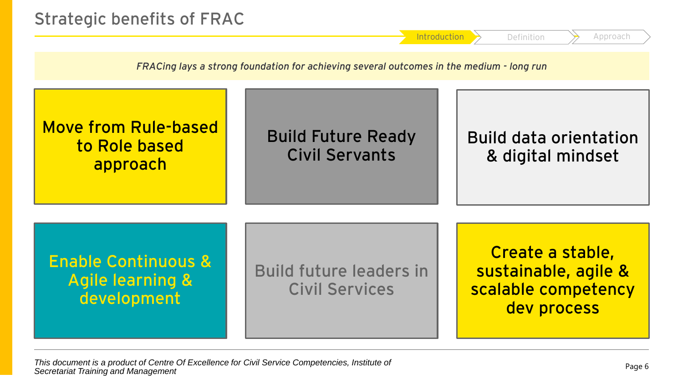

*This document is a product of Centre Of Excellence for Civil Service Competencies, Institute of Secretariat Training and Management*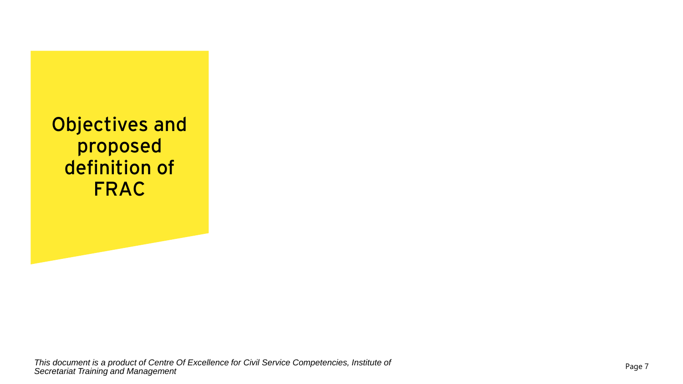**Objectives and proposed definition of FRAC**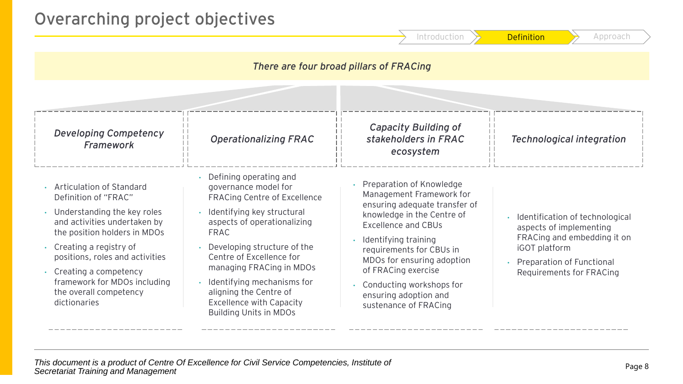### **Overarching project objectives**

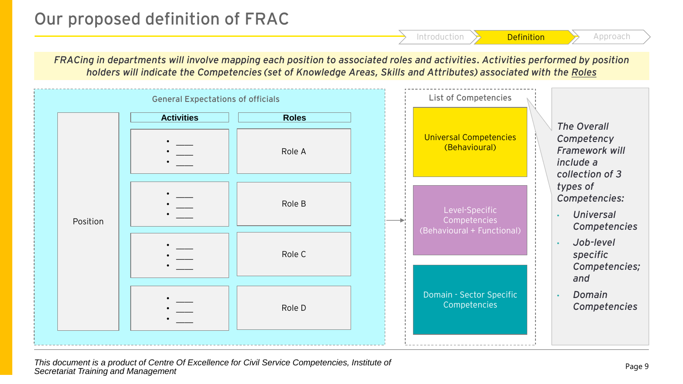## **Our proposed definition of FRAC**

*FRACing in departments will involve mapping each position to associated roles and activities. Activities performed by position holders will indicate the Competencies (set of Knowledge Areas, Skills and Attributes) associated with the Roles*



*This document is a product of Centre Of Excellence for Civil Service Competencies, Institute of Secretariat Training and Management*

Introduction  $\left\{\right\}$  Definition  $\left\{\right\}$  Approach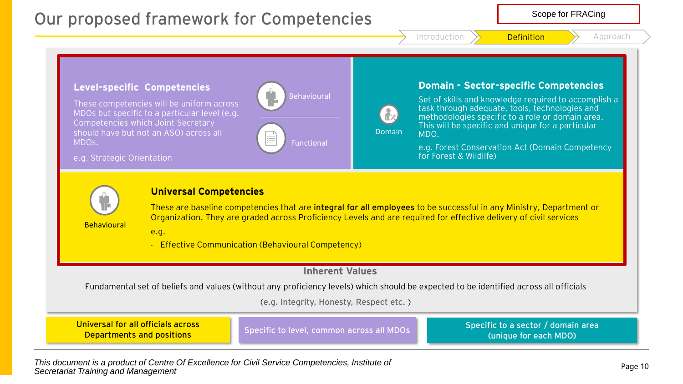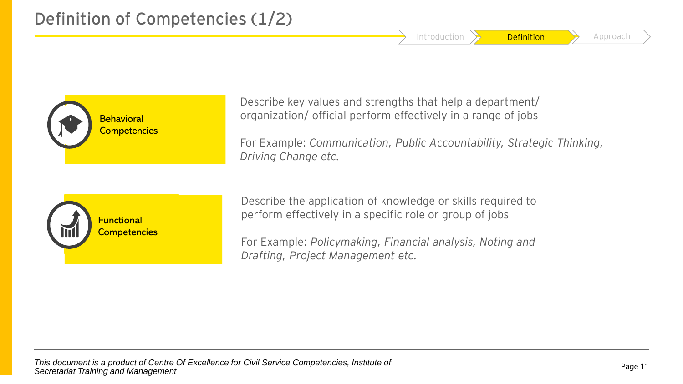Introduction  $\rightarrow$  **Definition**  $\rightarrow$  Approach



Describe key values and strengths that help a department/ organization/ official perform effectively in a range of jobs

For Example: *Communication, Public Accountability, Strategic Thinking, Driving Change etc.*



Describe the application of knowledge or skills required to perform effectively in a specific role or group of jobs

For Example: *Policymaking, Financial analysis, Noting and Drafting, Project Management etc.*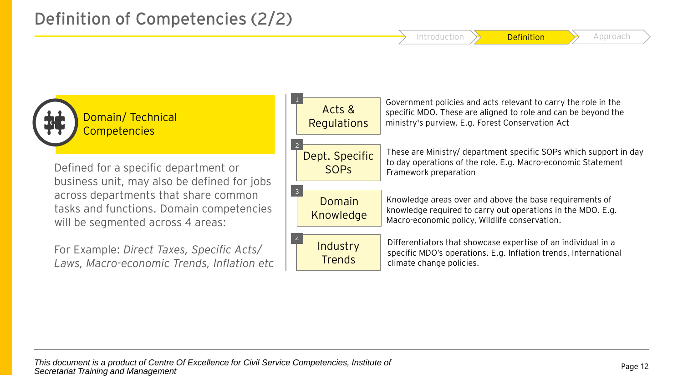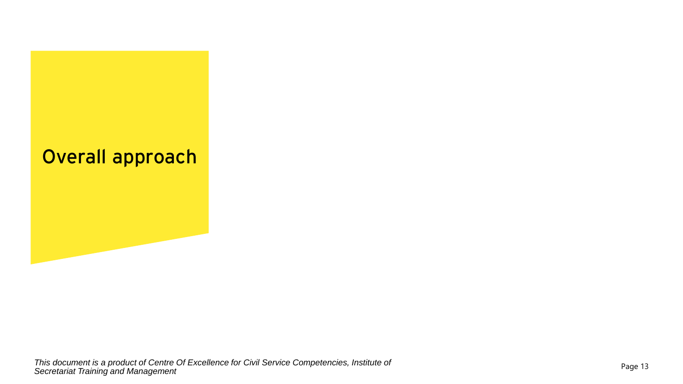## **Overall approach**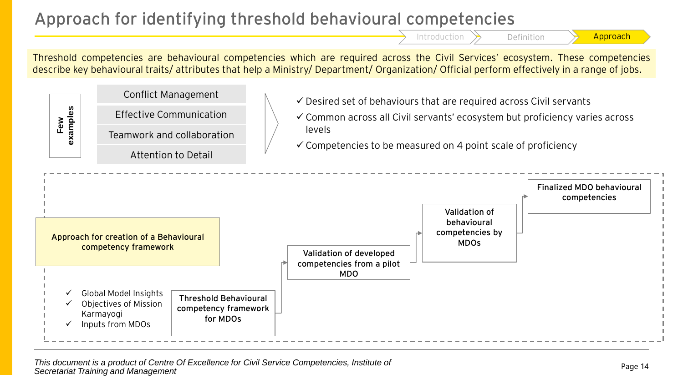## **Approach for identifying threshold behavioural competencies**

Introduction  $\rightarrow$  Definition  $\rightarrow$  Approach

Threshold competencies are behavioural competencies which are required across the Civil Services' ecosystem. These competencies describe key behavioural traits/ attributes that help a Ministry/ Department/ Organization/ Official perform effectively in a range of jobs.



This document is a product of Centre Of Excellence for Civil Service Competencies, Institute of **This document** is a product of Centre Of Excellence for Civil Service Competencies, Institute of *Secretariat Training and Management*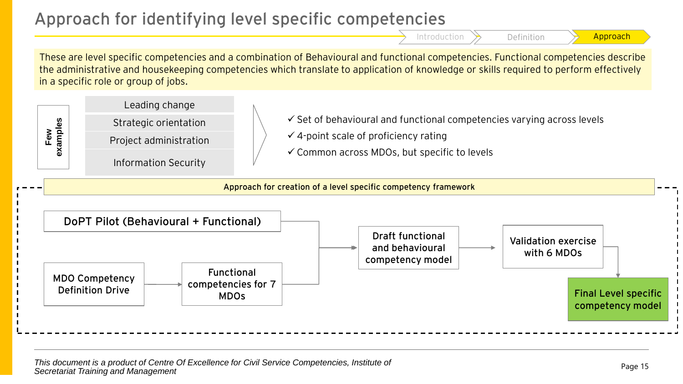## **Approach for identifying level specific competencies**

Introduction  $\rightarrow$  Definition  $\rightarrow$  Approach

These are level specific competencies and a combination of Behavioural and functional competencies. Functional competencies describe the administrative and housekeeping competencies which translate to application of knowledge or skills required to perform effectively in a specific role or group of jobs.

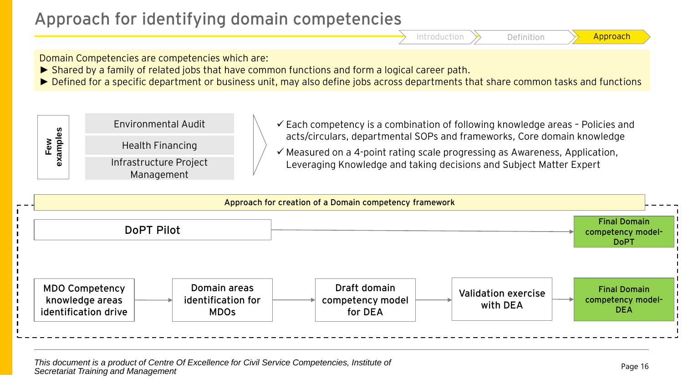## **Approach for identifying domain competencies**

Domain Competencies are competencies which are:

- ► Shared by a family of related jobs that have common functions and form a logical career path.
- ► Defined for a specific department or business unit, may also define jobs across departments that share common tasks and functions





This document is a product of Centre Of Excellence for Civil Service Competencies, Institute of **This document** is a product of Centre Of Excellence for Civil Service Competencies, Institute of *Secretariat Training and Management*

Introduction  $\rightarrow$  Definition  $\rightarrow$  Approach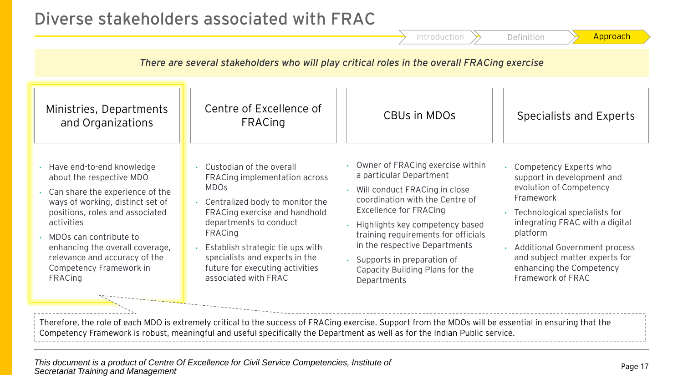|                                                                                                                                                                                                                                                                                                                   |                                                                                                                                                                                                                                                                                                                               | Introduction                                                                                                                                                                                                                                                                                                                                                  | Approach<br>Definition                                                                                                                                                                                                                                                                                      |
|-------------------------------------------------------------------------------------------------------------------------------------------------------------------------------------------------------------------------------------------------------------------------------------------------------------------|-------------------------------------------------------------------------------------------------------------------------------------------------------------------------------------------------------------------------------------------------------------------------------------------------------------------------------|---------------------------------------------------------------------------------------------------------------------------------------------------------------------------------------------------------------------------------------------------------------------------------------------------------------------------------------------------------------|-------------------------------------------------------------------------------------------------------------------------------------------------------------------------------------------------------------------------------------------------------------------------------------------------------------|
| There are several stakeholders who will play critical roles in the overall FRACing exercise                                                                                                                                                                                                                       |                                                                                                                                                                                                                                                                                                                               |                                                                                                                                                                                                                                                                                                                                                               |                                                                                                                                                                                                                                                                                                             |
| Ministries, Departments<br>and Organizations                                                                                                                                                                                                                                                                      | Centre of Excellence of<br><b>FRACing</b>                                                                                                                                                                                                                                                                                     | CBUs in MDO <sub>S</sub>                                                                                                                                                                                                                                                                                                                                      | Specialists and Experts                                                                                                                                                                                                                                                                                     |
| Have end-to-end knowledge<br>about the respective MDO<br>Can share the experience of the<br>ways of working, distinct set of<br>positions, roles and associated<br>activities<br>MDOs can contribute to<br>enhancing the overall coverage,<br>relevance and accuracy of the<br>Competency Framework in<br>FRACing | • Custodian of the overall<br>FRACing implementation across<br><b>MDOs</b><br>• Centralized body to monitor the<br>FRACing exercise and handhold<br>departments to conduct<br><b>FRACing</b><br>Establish strategic tie ups with<br>specialists and experts in the<br>future for executing activities<br>associated with FRAC | Owner of FRACing exercise within<br>a particular Department<br>Will conduct FRACing in close<br>coordination with the Centre of<br><b>Excellence for FRACing</b><br>Highlights key competency based<br>training requirements for officials<br>in the respective Departments<br>• Supports in preparation of<br>Capacity Building Plans for the<br>Departments | • Competency Experts who<br>support in development and<br>evolution of Competency<br>Framework<br>• Technological specialists for<br>integrating FRAC with a digital<br>platform<br><b>Additional Government process</b><br>and subject matter experts for<br>enhancing the Competency<br>Framework of FRAC |

Therefore, the role of each MDO is extremely critical to the success of FRACing exercise. Support from the MDOs will be essential in ensuring that the Competency Framework is robust, meaningful and useful specifically the Department as well as for the Indian Public service.

**Diverse stakeholders associated with FRAC**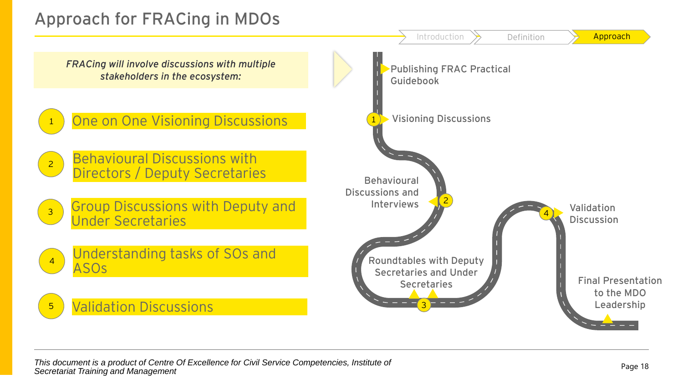## **Approach for FRACing in MDOs**

*FRACing will involve discussions with multiple stakeholders in the ecosystem:*



One on One Visioning Discussions

- 2 Behavioural Discussions with Directors / Deputy Secretaries
- 3 Group Discussions with Deputy and Under Secretaries



### **Validation Discussions**